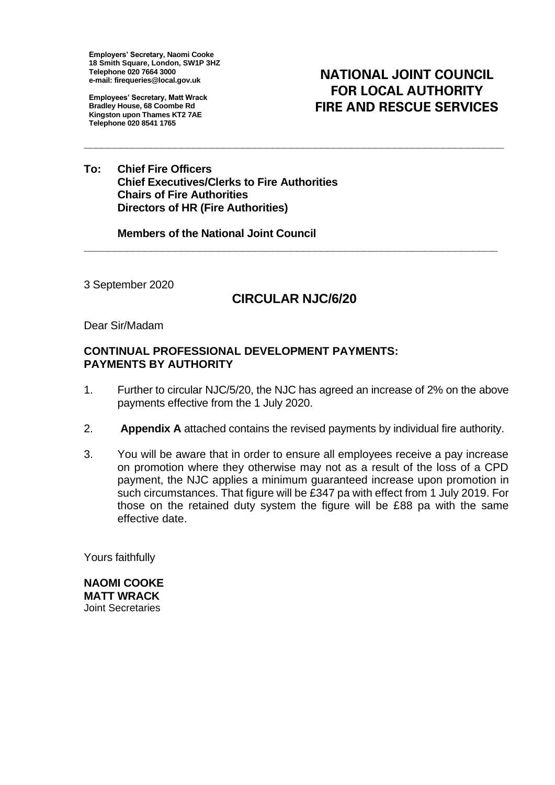**Employers' Secretary, Naomi Cooke 18 Smith Square, London, SW1P 3HZ Telephone 020 7664 3000 e-mail: firequeries@local.gov.uk**

**Employees' Secretary, Matt Wrack Bradley House, 68 Coombe Rd Kingston upon Thames KT2 7AE Telephone 020 8541 1765**

**NATIONAL JOINT COUNCIL FOR LOCAL AUTHORITY FIRE AND RESCUE SERVICES** 

**To: Chief Fire Officers Chief Executives/Clerks to Fire Authorities Chairs of Fire Authorities Directors of HR (Fire Authorities)**

**Members of the National Joint Council**

3 September 2020

## **CIRCULAR NJC/6/20**

**\_\_\_\_\_\_\_\_\_\_\_\_\_\_\_\_\_\_\_\_\_\_\_\_\_\_\_\_\_\_\_\_\_\_\_\_\_\_\_\_\_\_\_\_\_\_\_\_\_\_\_\_\_\_\_\_\_\_\_\_\_\_\_\_\_\_\_\_**

**\_\_\_\_\_\_\_\_\_\_\_\_\_\_\_\_\_\_\_\_\_\_\_\_\_\_\_\_\_\_\_\_\_\_\_\_\_\_\_\_\_\_\_\_\_\_\_\_\_\_\_\_\_\_\_\_\_\_\_\_\_\_\_\_\_\_\_\_\_**

Dear Sir/Madam

## **CONTINUAL PROFESSIONAL DEVELOPMENT PAYMENTS: PAYMENTS BY AUTHORITY**

- 1. Further to circular NJC/5/20, the NJC has agreed an increase of 2% on the above payments effective from the 1 July 2020.
- 2. **Appendix A** attached contains the revised payments by individual fire authority.
- 3. You will be aware that in order to ensure all employees receive a pay increase on promotion where they otherwise may not as a result of the loss of a CPD payment, the NJC applies a minimum guaranteed increase upon promotion in such circumstances. That figure will be £347 pa with effect from 1 July 2019. For those on the retained duty system the figure will be £88 pa with the same effective date.

Yours faithfully

**NAOMI COOKE MATT WRACK** Joint Secretaries